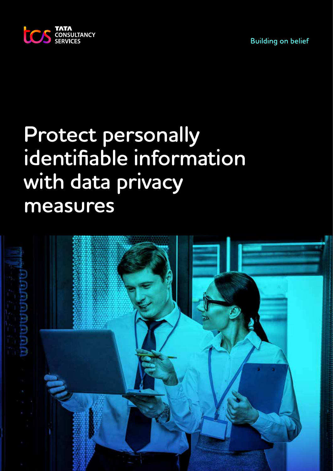



# **Protect personally identifiable information with data privacy measures**

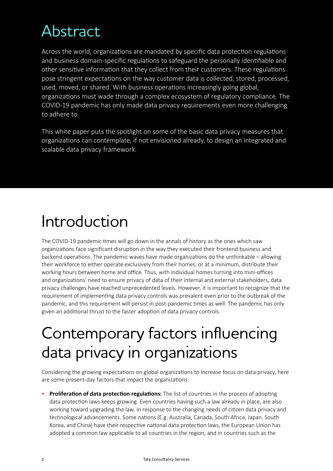# Abstract

Across the world, organizations are mandated by specific data protection regulations and business domain-specific regulations to safeguard the personally identifiable and other sensitive information that they collect from their customers. These regulations pose stringent expectations on the way customer data is collected, stored, processed, used, moved, or shared. With business operations increasingly going global, organizations must wade through a complex ecosystem of regulatory compliance. The COVID-19 pandemic has only made data privacy requirements even more challenging to adhere to.

This white paper puts the spotlight on some of the basic data privacy measures that organizations can contemplate, if not envisioned already, to design an integrated and scalable data privacy framework.

### Introduction

The COVID-19 pandemic times will go down in the annals of history as the ones which saw organizations face significant disruption in the way they executed their frontend business and backend operations. The pandemic waves have made organizations do the unthinkable – allowing their workforce to either operate exclusively from their homes, or at a minimum, distribute their working hours between home and office. Thus, with individual homes turning into mini-offices and organizations' need to ensure privacy of data of their internal and external stakeholders, data privacy challenges have reached unprecedented levels. However, it is important to recognize that the requirement of implementing data privacy controls was prevalent even prior to the outbreak of the pandemic, and this requirement will persist in post-pandemic times as well. The pandemic has only given an additional thrust to the faster adoption of data privacy controls.

# Contemporary factors influencing data privacy in organizations

Considering the growing expectations on global organizations to increase focus on data privacy, here are some present-day factors that impact the organizations:

• **Proliferation of data protection regulations:** The list of countries in the process of adopting data protection laws keeps growing. Even countries having such a law already in place, are also working toward upgrading the law, in response to the changing needs of citizen data privacy and technological advancements. Some nations (E.g. Australia, Canada, South Africa, Japan, South Korea, and China) have their respective national data protection laws, the European Union has adopted a common law applicable to all countries in the region, and in countries such as the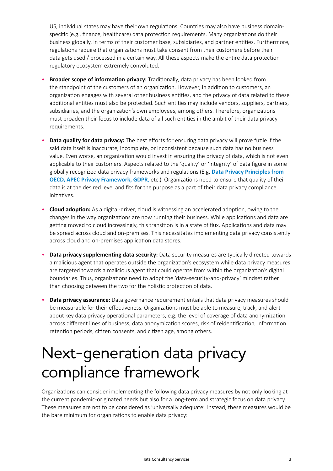US, individual states may have their own regulations. Countries may also have business domainspecific (e.g., finance, healthcare) data protection requirements. Many organizations do their business globally, in terms of their customer base, subsidiaries, and partner entities. Furthermore, regulations require that organizations must take consent from their customers before their data gets used / processed in a certain way. All these aspects make the entire data protection regulatory ecosystem extremely convoluted.

- **Broader scope of information privacy:** Traditionally, data privacy has been looked from the standpoint of the customers of an organization. However, in addition to customers, an organization engages with several other business entities, and the privacy of data related to these additional entities must also be protected. Such entities may include vendors, suppliers, partners, subsidiaries, and the organization's own employees, among others. Therefore, organizations must broaden their focus to include data of all such entities in the ambit of their data privacy requirements.
- **Data quality for data privacy:** The best efforts for ensuring data privacy will prove futile if the said data itself is inaccurate, incomplete, or inconsistent because such data has no business value. Even worse, an organization would invest in ensuring the privacy of data, which is not even applicable to their customers. Aspects related to the 'quality' or 'integrity' of data figure in some globally recognized data privacy frameworks and regulations (E.g. **[Data Privacy Principles from](https://www.oecd.org/)  [OECD,](https://www.oecd.org/) [APEC Privacy Framework,](https://www.apec.org/) [GDPR](https://eur-lex.europa.eu/eli/reg/2016/679/oj)**, etc.). Organizations need to ensure that quality of their data is at the desired level and fits for the purpose as a part of their data privacy compliance initiatives.
- **Cloud adoption:** As a digital-driver, cloud is witnessing an accelerated adoption, owing to the changes in the way organizations are now running their business. While applications and data are getting moved to cloud increasingly, this transition is in a state of flux. Applications and data may be spread across cloud and on-premises. This necessitates implementing data privacy consistently across cloud and on-premises application data stores.
- **Data privacy supplementing data security:** Data security measures are typically directed towards a malicious agent that operates outside the organization's ecosystem while data privacy measures are targeted towards a malicious agent that could operate from within the organization's digital boundaries. Thus, organizations need to adopt the 'data-security-and-privacy' mindset rather than choosing between the two for the holistic protection of data.
- **Data privacy assurance:** Data governance requirement entails that data privacy measures should be measurable for their effectiveness. Organizations must be able to measure, track, and alert about key data privacy operational parameters, e.g. the level of coverage of data anonymization across different lines of business, data anonymization scores, risk of reidentification, information retention periods, citizen consents, and citizen age, among others.

### Next-generation data privacy compliance framework

Organizations can consider implementing the following data privacy measures by not only looking at the current pandemic-originated needs but also for a long-term and strategic focus on data privacy. These measures are not to be considered as 'universally adequate'. Instead, these measures would be the bare minimum for organizations to enable data privacy: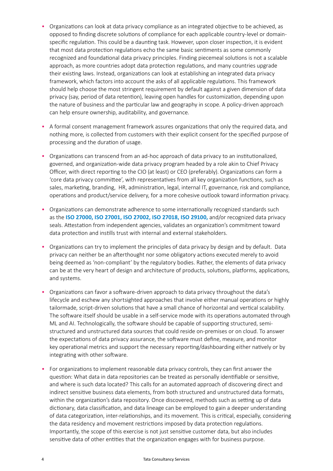- Organizations can look at data privacy compliance as an integrated objective to be achieved, as opposed to finding discrete solutions of compliance for each applicable country-level or domainspecific regulation. This could be a daunting task. However, upon closer inspection, it is evident that most data protection regulations echo the same basic sentiments as some commonly recognized and foundational data privacy principles. Finding piecemeal solutions is not a scalable approach, as more countries adopt data protection regulations, and many countries upgrade their existing laws. Instead, organizations can look at establishing an integrated data privacy framework, which factors into account the asks of all applicable regulations. This framework should help choose the most stringent requirement by default against a given dimension of data privacy (say, period of data retention), leaving open handles for customization, depending upon the nature of business and the particular law and geography in scope. A policy-driven approach can help ensure ownership, auditability, and governance.
- A formal consent management framework assures organizations that only the required data, and nothing more, is collected from customers with their explicit consent for the specified purpose of processing and the duration of usage.
- Organizations can transcend from an ad-hoc approach of data privacy to an institutionalized, governed, and organization-wide data privacy program headed by a role akin to Chief Privacy Officer, with direct reporting to the CIO (at least) or CEO (preferably). Organizations can form a 'core data privacy committee', with representatives from all key organization functions, such as sales, marketing, branding, HR, administration, legal, internal IT, governance, risk and compliance, operations and product/service delivery, for a more cohesive outlook toward information privacy.
- Organizations can demonstrate adherence to some internationally recognized standards such as the **[ISO 27000,](https://www.iso.org/standard/73906.html) [ISO 27001,](https://www.iso.org/standard/54534.html) [ISO 27002,](https://www.iso.org/standard/54533.html) [ISO 27018,](https://www.iso.org/standard/76559.html) [ISO 29100,](https://www.iso.org/standard/45123.html)** and/or recognized data privacy seals. Attestation from independent agencies, validates an organization's commitment toward data protection and instills trust with internal and external stakeholders.
- Organizations can try to implement the principles of data privacy by design and by default. Data privacy can neither be an afterthought nor some obligatory actions executed merely to avoid being deemed as 'non-compliant' by the regulatory bodies. Rather, the elements of data privacy can be at the very heart of design and architecture of products, solutions, platforms, applications, and systems.
- Organizations can favor a software-driven approach to data privacy throughout the data's lifecycle and eschew any shortsighted approaches that involve either manual operations or highly tailormade, script-driven solutions that have a small chance of horizontal and vertical scalability. The software itself should be usable in a self-service mode with its operations automated through ML and AI. Technologically, the software should be capable of supporting structured, semistructured and unstructured data sources that could reside on-premises or on cloud. To answer the expectations of data privacy assurance, the software must define, measure, and monitor key operational metrics and support the necessary reporting/dashboarding either natively or by integrating with other software.
- For organizations to implement reasonable data privacy controls, they can first answer the question: What data in data repositories can be treated as personally identifiable or sensitive, and where is such data located? This calls for an automated approach of discovering direct and indirect sensitive business data elements, from both structured and unstructured data formats, within the organization's data repository. Once discovered, methods such as setting up of data dictionary, data classification, and data lineage can be employed to gain a deeper understanding of data categorization, inter-relationships, and its movement. This is critical, especially, considering the data residency and movement restrictions imposed by data protection regulations. Importantly, the scope of this exercise is not just sensitive customer data, but also includes sensitive data of other entities that the organization engages with for business purpose.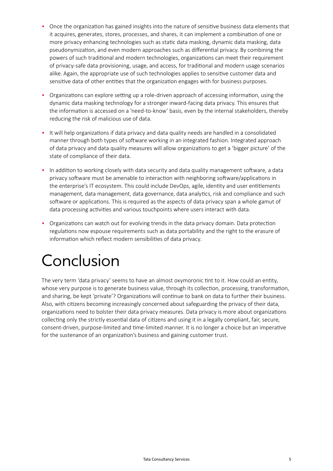- Once the organization has gained insights into the nature of sensitive business data elements that it acquires, generates, stores, processes, and shares, it can implement a combination of one or more privacy enhancing technologies such as static data masking, dynamic data masking, data pseudonymization, and even modern approaches such as differential privacy. By combining the powers of such traditional and modern technologies, organizations can meet their requirement of privacy-safe data provisioning, usage, and access, for traditional and modern usage scenarios alike. Again, the appropriate use of such technologies applies to sensitive customer data and sensitive data of other entities that the organization engages with for business purposes.
- Organizations can explore setting up a role-driven approach of accessing information, using the dynamic data masking technology for a stronger inward-facing data privacy. This ensures that the information is accessed on a 'need-to-know' basis, even by the internal stakeholders, thereby reducing the risk of malicious use of data.
- It will help organizations if data privacy and data quality needs are handled in a consolidated manner through both types of software working in an integrated fashion. Integrated approach of data privacy and data quality measures will allow organizations to get a 'bigger picture' of the state of compliance of their data.
- In addition to working closely with data security and data quality management software, a data privacy software must be amenable to interaction with neighboring software/applications in the enterprise's IT ecosystem. This could include DevOps, agile, identity and user entitlements management, data management, data governance, data analytics, risk and compliance and such software or applications. This is required as the aspects of data privacy span a whole gamut of data processing activities and various touchpoints where users interact with data.
- Organizations can watch out for evolving trends in the data privacy domain. Data protection regulations now espouse requirements such as data portability and the right to the erasure of information which reflect modern sensibilities of data privacy.

# Conclusion

The very term 'data privacy' seems to have an almost oxymoronic tint to it. How could an entity, whose very purpose is to generate business value, through its collection, processing, transformation, and sharing, be kept 'private'? Organizations will continue to bank on data to further their business. Also, with citizens becoming increasingly concerned about safeguarding the privacy of their data, organizations need to bolster their data privacy measures. Data privacy is more about organizations collecting only the strictly essential data of citizens and using it in a legally compliant, fair, secure, consent-driven, purpose-limited and time-limited manner. It is no longer a choice but an imperative for the sustenance of an organization's business and gaining customer trust.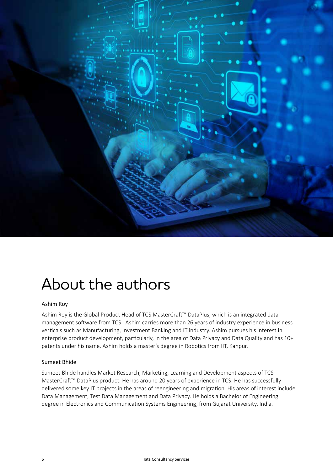

### About the authors

#### Ashim Roy

Ashim Roy is the Global Product Head of TCS MasterCraft™ DataPlus, which is an integrated data management software from TCS. Ashim carries more than 26 years of industry experience in business verticals such as Manufacturing, Investment Banking and IT industry. Ashim pursues his interest in enterprise product development, particularly, in the area of Data Privacy and Data Quality and has 10+ patents under his name. Ashim holds a master's degree in Robotics from IIT, Kanpur.

#### Sumeet Bhide

Sumeet Bhide handles Market Research, Marketing, Learning and Development aspects of TCS MasterCraft™ DataPlus product. He has around 20 years of experience in TCS. He has successfully delivered some key IT projects in the areas of reengineering and migration. His areas of interest include Data Management, Test Data Management and Data Privacy. He holds a Bachelor of Engineering degree in Electronics and Communication Systems Engineering, from Gujarat University, India.